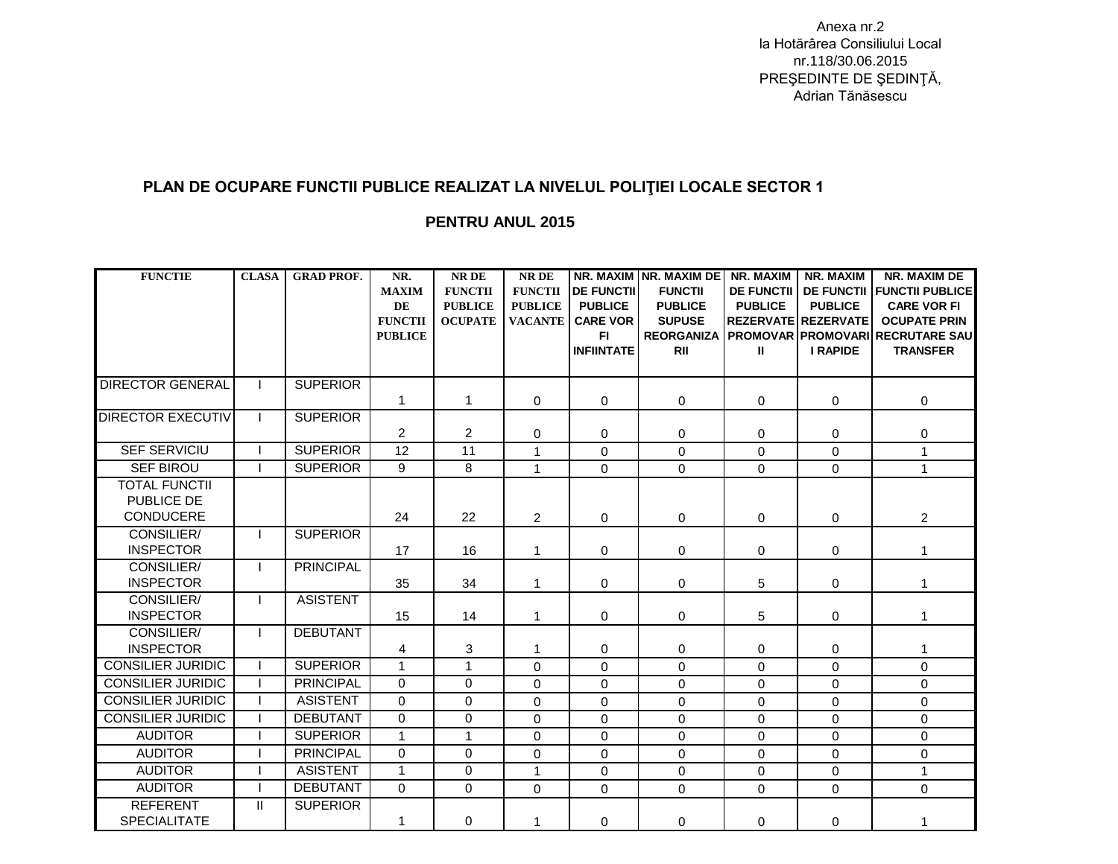Anexa nr.2 la Hotărârea Consiliului Local nr.118/30.06.2015 PREŞEDINTE DE ŞEDINŢĂ, Adrian Tănăsescu

## **PLAN DE OCUPARE FUNCTII PUBLICE REALIZAT LA NIVELUL POLIŢIEI LOCALE SECTOR 1**

## **PENTRU ANUL 2015**

| <b>FUNCTIE</b>                                         | <b>CLASA</b> | <b>GRAD PROF.</b> | NR.<br><b>MAXIM</b><br>DE<br><b>FUNCTII</b><br><b>PUBLICE</b> | <b>NRDE</b><br><b>FUNCTII</b><br><b>PUBLICE</b><br><b>OCUPATE</b> | <b>NRDE</b><br><b>FUNCTII</b><br><b>PUBLICE</b><br><b>VACANTE</b> | <b>DE FUNCTII</b><br><b>PUBLICE</b><br><b>CARE VOR</b><br>FI.<br><b>INFIINTATE</b> | NR. MAXIM NR. MAXIM DE<br><b>FUNCTII</b><br><b>PUBLICE</b><br><b>SUPUSE</b><br><b>REORGANIZA</b><br><b>RII</b> | NR. MAXIM<br><b>DE FUNCTII</b><br><b>PUBLICE</b><br>Ш | NR. MAXIM<br><b>PUBLICE</b><br><b>REZERVATE REZERVATE</b><br><b>I RAPIDE</b> | <b>NR. MAXIM DE</b><br><b>DE FUNCTII FUNCTII PUBLICE</b><br><b>CARE VOR FI</b><br><b>OCUPATE PRIN</b><br><b>PROMOVAR PROMOVARI RECRUTARE SAU</b><br><b>TRANSFER</b> |
|--------------------------------------------------------|--------------|-------------------|---------------------------------------------------------------|-------------------------------------------------------------------|-------------------------------------------------------------------|------------------------------------------------------------------------------------|----------------------------------------------------------------------------------------------------------------|-------------------------------------------------------|------------------------------------------------------------------------------|---------------------------------------------------------------------------------------------------------------------------------------------------------------------|
| <b>DIRECTOR GENERAL</b>                                |              | <b>SUPERIOR</b>   | $\mathbf{1}$                                                  | $\mathbf{1}$                                                      | 0                                                                 | $\mathbf 0$                                                                        | $\mathbf 0$                                                                                                    | 0                                                     | $\Omega$                                                                     | $\mathbf 0$                                                                                                                                                         |
| <b>DIRECTOR EXECUTIV</b>                               |              | <b>SUPERIOR</b>   | $\overline{2}$                                                | $\overline{2}$                                                    | $\mathbf 0$                                                       | 0                                                                                  | 0                                                                                                              | 0                                                     | $\mathbf 0$                                                                  | $\mathbf 0$                                                                                                                                                         |
| <b>SEF SERVICIU</b>                                    |              | <b>SUPERIOR</b>   | 12                                                            | 11                                                                | $\mathbf{1}$                                                      | $\mathbf 0$                                                                        | $\mathbf 0$                                                                                                    | 0                                                     | $\Omega$                                                                     | $\mathbf{1}$                                                                                                                                                        |
| <b>SEF BIROU</b>                                       |              | <b>SUPERIOR</b>   | 9                                                             | 8                                                                 | $\mathbf{1}$                                                      | $\Omega$                                                                           | $\Omega$                                                                                                       | $\Omega$                                              | $\Omega$                                                                     | $\mathbf{1}$                                                                                                                                                        |
| <b>TOTAL FUNCTII</b><br>PUBLICE DE<br><b>CONDUCERE</b> |              |                   | 24                                                            | 22                                                                | $\overline{2}$                                                    | $\mathbf 0$                                                                        | $\mathbf 0$                                                                                                    | 0                                                     | $\mathbf 0$                                                                  | $\overline{2}$                                                                                                                                                      |
| CONSILIER/<br><b>INSPECTOR</b>                         |              | <b>SUPERIOR</b>   | 17                                                            | 16                                                                | $\mathbf{1}$                                                      | $\mathbf 0$                                                                        | 0                                                                                                              | 0                                                     | $\mathbf 0$                                                                  | 1                                                                                                                                                                   |
| CONSILIER/<br><b>INSPECTOR</b>                         |              | <b>PRINCIPAL</b>  | 35                                                            | 34                                                                | $\mathbf{1}$                                                      | 0                                                                                  | $\mathbf 0$                                                                                                    | 5                                                     | $\mathbf 0$                                                                  | 1                                                                                                                                                                   |
| CONSILIER/<br><b>INSPECTOR</b>                         |              | <b>ASISTENT</b>   | 15                                                            | 14                                                                | $\mathbf{1}$                                                      | $\mathbf 0$                                                                        | $\mathbf 0$                                                                                                    | 5                                                     | $\mathbf 0$                                                                  | 1                                                                                                                                                                   |
| CONSILIER/<br><b>INSPECTOR</b>                         |              | <b>DEBUTANT</b>   | 4                                                             | 3                                                                 | $\mathbf{1}$                                                      | 0                                                                                  | $\mathbf 0$                                                                                                    | 0                                                     | $\Omega$                                                                     | 1                                                                                                                                                                   |
| <b>CONSILIER JURIDIC</b>                               |              | <b>SUPERIOR</b>   | $\mathbf{1}$                                                  | $\mathbf{1}$                                                      | $\mathbf 0$                                                       | $\mathbf 0$                                                                        | $\Omega$                                                                                                       | $\mathbf 0$                                           | $\Omega$                                                                     | $\mathbf 0$                                                                                                                                                         |
| <b>CONSILIER JURIDIC</b>                               |              | <b>PRINCIPAL</b>  | $\mathbf{0}$                                                  | $\Omega$                                                          | 0                                                                 | $\Omega$                                                                           | $\mathbf 0$                                                                                                    | $\mathbf 0$                                           | $\Omega$                                                                     | $\mathbf 0$                                                                                                                                                         |
| <b>CONSILIER JURIDIC</b>                               |              | <b>ASISTENT</b>   | $\Omega$                                                      | $\Omega$                                                          | $\Omega$                                                          | 0                                                                                  | $\Omega$                                                                                                       | $\mathbf 0$                                           | $\Omega$                                                                     | $\mathbf 0$                                                                                                                                                         |
| <b>CONSILIER JURIDIC</b>                               |              | <b>DEBUTANT</b>   | $\mathbf 0$                                                   | 0                                                                 | $\mathbf 0$                                                       | $\Omega$                                                                           | $\mathbf 0$                                                                                                    | $\mathbf 0$                                           | $\Omega$                                                                     | $\mathbf 0$                                                                                                                                                         |
| <b>AUDITOR</b>                                         |              | <b>SUPERIOR</b>   | $\mathbf{1}$                                                  | $\mathbf{1}$                                                      | 0                                                                 | $\mathbf 0$                                                                        | $\mathbf 0$                                                                                                    | $\mathbf 0$                                           | $\Omega$                                                                     | $\mathbf 0$                                                                                                                                                         |
| <b>AUDITOR</b>                                         |              | <b>PRINCIPAL</b>  | $\Omega$                                                      | $\Omega$                                                          | $\Omega$                                                          | 0                                                                                  | $\Omega$                                                                                                       | $\Omega$                                              | $\Omega$                                                                     | $\mathbf 0$                                                                                                                                                         |
| <b>AUDITOR</b>                                         |              | <b>ASISTENT</b>   | $\mathbf{1}$                                                  | 0                                                                 | $\mathbf{1}$                                                      | $\mathbf 0$                                                                        | 0                                                                                                              | $\mathbf 0$                                           | $\Omega$                                                                     | $\mathbf{1}$                                                                                                                                                        |
| <b>AUDITOR</b>                                         |              | <b>DEBUTANT</b>   | $\mathbf{0}$                                                  | $\Omega$                                                          | $\Omega$                                                          | 0                                                                                  | $\Omega$                                                                                                       | $\Omega$                                              | $\Omega$                                                                     | $\overline{0}$                                                                                                                                                      |
| <b>REFERENT</b><br><b>SPECIALITATE</b>                 | $\mathbf{H}$ | <b>SUPERIOR</b>   | 1                                                             | 0                                                                 | $\mathbf{1}$                                                      | 0                                                                                  | 0                                                                                                              | $\mathbf 0$                                           | $\Omega$                                                                     | $\mathbf{1}$                                                                                                                                                        |